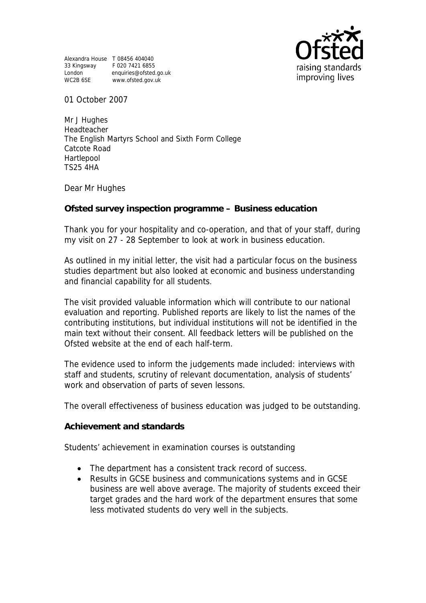Alexandra House T 08456 404040 33 Kingsway F 020 7421 6855 London enquiries@ofsted.go.uk WC2B 6SE www.ofsted.gov.uk



01 October 2007

Mr J Hughes Headteacher The English Martyrs School and Sixth Form College Catcote Road Hartlepool TS25 4HA

Dear Mr Hughes

**Ofsted survey inspection programme – Business education**

Thank you for your hospitality and co-operation, and that of your staff, during my visit on 27 - 28 September to look at work in business education.

As outlined in my initial letter, the visit had a particular focus on the business studies department but also looked at economic and business understanding and financial capability for all students.

The visit provided valuable information which will contribute to our national evaluation and reporting. Published reports are likely to list the names of the contributing institutions, but individual institutions will not be identified in the main text without their consent. All feedback letters will be published on the Ofsted website at the end of each half-term.

The evidence used to inform the judgements made included: interviews with staff and students, scrutiny of relevant documentation, analysis of students' work and observation of parts of seven lessons.

The overall effectiveness of business education was judged to be outstanding.

**Achievement and standards**

Students' achievement in examination courses is outstanding

- The department has a consistent track record of success.
- Results in GCSE business and communications systems and in GCSE business are well above average. The majority of students exceed their target grades and the hard work of the department ensures that some less motivated students do very well in the subjects.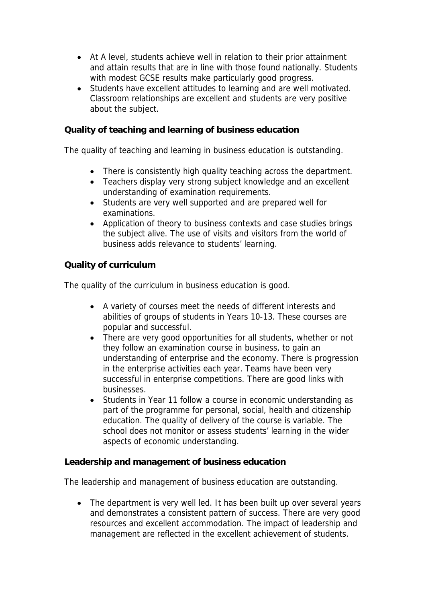- At A level, students achieve well in relation to their prior attainment and attain results that are in line with those found nationally. Students with modest GCSE results make particularly good progress.
- Students have excellent attitudes to learning and are well motivated. Classroom relationships are excellent and students are very positive about the subject.

**Quality of teaching and learning of business education**

The quality of teaching and learning in business education is outstanding.

- There is consistently high quality teaching across the department.
- Teachers display very strong subject knowledge and an excellent understanding of examination requirements.
- Students are very well supported and are prepared well for examinations.
- Application of theory to business contexts and case studies brings the subject alive. The use of visits and visitors from the world of business adds relevance to students' learning.

## **Quality of curriculum**

The quality of the curriculum in business education is good.

- A variety of courses meet the needs of different interests and abilities of groups of students in Years 10-13. These courses are popular and successful.
- There are very good opportunities for all students, whether or not they follow an examination course in business, to gain an understanding of enterprise and the economy. There is progression in the enterprise activities each year. Teams have been very successful in enterprise competitions. There are good links with businesses.
- Students in Year 11 follow a course in economic understanding as part of the programme for personal, social, health and citizenship education. The quality of delivery of the course is variable. The school does not monitor or assess students' learning in the wider aspects of economic understanding.

**Leadership and management of business education**

The leadership and management of business education are outstanding.

• The department is very well led. It has been built up over several years and demonstrates a consistent pattern of success. There are very good resources and excellent accommodation. The impact of leadership and management are reflected in the excellent achievement of students.